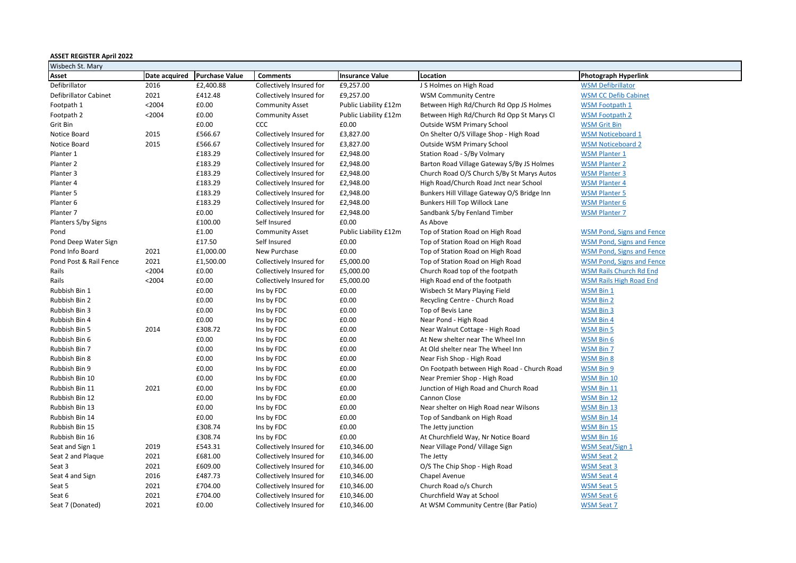| <b>ASSET REGISTER April 2022</b> |               |                       |                          |                        |                                             |                                  |
|----------------------------------|---------------|-----------------------|--------------------------|------------------------|---------------------------------------------|----------------------------------|
| Wisbech St. Mary                 |               |                       |                          |                        |                                             |                                  |
| Asset                            | Date acquired | <b>Purchase Value</b> | <b>Comments</b>          | <b>Insurance Value</b> | Location                                    | <b>Photograph Hyperlink</b>      |
| Defibrillator                    | 2016          | £2,400.88             | Collectively Insured for | £9,257.00              | J S Holmes on High Road                     | <b>WSM Defibrillator</b>         |
| Defibrillator Cabinet            | 2021          | £412.48               | Collectively Insured for | £9,257.00              | <b>WSM Community Centre</b>                 | <b>WSM CC Defib Cabinet</b>      |
| Footpath 1                       | < 2004        | £0.00                 | <b>Community Asset</b>   | Public Liability £12m  | Between High Rd/Church Rd Opp JS Holmes     | <b>WSM Footpath 1</b>            |
| Footpath 2                       | < 2004        | £0.00                 | <b>Community Asset</b>   | Public Liability £12m  | Between High Rd/Church Rd Opp St Marys Cl   | <b>WSM Footpath 2</b>            |
| Grit Bin                         |               | £0.00                 | <b>CCC</b>               | £0.00                  | Outside WSM Primary School                  | <b>WSM Grit Bin</b>              |
| Notice Board                     | 2015          | £566.67               | Collectively Insured for | £3,827.00              | On Shelter O/S Village Shop - High Road     | <b>WSM Noticeboard 1</b>         |
| Notice Board                     | 2015          | £566.67               | Collectively Insured for | £3,827.00              | Outside WSM Primary School                  | <b>WSM Noticeboard 2</b>         |
| Planter 1                        |               | £183.29               | Collectively Insured for | £2,948.00              | Station Road - S/By Volmary                 | <b>WSM Planter 1</b>             |
| Planter 2                        |               | £183.29               | Collectively Insured for | £2,948.00              | Barton Road Village Gateway S/By JS Holmes  | <b>WSM Planter 2</b>             |
| Planter 3                        |               | £183.29               | Collectively Insured for | £2,948.00              | Church Road O/S Church S/By St Marys Autos  | <b>WSM Planter 3</b>             |
| Planter 4                        |               | £183.29               | Collectively Insured for | £2,948.00              | High Road/Church Road Jnct near School      | <b>WSM Planter 4</b>             |
| Planter 5                        |               | £183.29               | Collectively Insured for | £2,948.00              | Bunkers Hill Village Gateway O/S Bridge Inn | <b>WSM Planter 5</b>             |
| Planter 6                        |               | £183.29               | Collectively Insured for | £2,948.00              | Bunkers Hill Top Willock Lane               | <b>WSM Planter 6</b>             |
| Planter 7                        |               | £0.00                 | Collectively Insured for | £2,948.00              | Sandbank S/by Fenland Timber                | <b>WSM Planter 7</b>             |
| Planters S/by Signs              |               | £100.00               | Self Insured             | £0.00                  | As Above                                    |                                  |
| Pond                             |               | £1.00                 | <b>Community Asset</b>   | Public Liability £12m  | Top of Station Road on High Road            | <b>WSM Pond, Signs and Fence</b> |
| Pond Deep Water Sign             |               | £17.50                | Self Insured             | £0.00                  | Top of Station Road on High Road            | <b>WSM Pond, Signs and Fence</b> |
| Pond Info Board                  | 2021          | £1,000.00             | New Purchase             | £0.00                  | Top of Station Road on High Road            | <b>WSM Pond, Signs and Fence</b> |
| Pond Post & Rail Fence           | 2021          | £1,500.00             | Collectively Insured for | £5,000.00              | Top of Station Road on High Road            | <b>WSM Pond, Signs and Fence</b> |
| Rails                            | < 2004        | £0.00                 | Collectively Insured for | £5,000.00              | Church Road top of the footpath             | <b>WSM Rails Church Rd End</b>   |
| Rails                            | < 2004        | £0.00                 | Collectively Insured for | £5,000.00              | High Road end of the footpath               | <b>WSM Rails High Road End</b>   |
| Rubbish Bin 1                    |               | £0.00                 | Ins by FDC               | £0.00                  | Wisbech St Mary Playing Field               | WSM Bin 1                        |
| Rubbish Bin 2                    |               | £0.00                 | Ins by FDC               | £0.00                  | Recycling Centre - Church Road              | <b>WSM Bin 2</b>                 |
| Rubbish Bin 3                    |               | £0.00                 | Ins by FDC               | £0.00                  | Top of Bevis Lane                           | WSM Bin 3                        |
| Rubbish Bin 4                    |               | £0.00                 | Ins by FDC               | £0.00                  | Near Pond - High Road                       | WSM Bin 4                        |
| Rubbish Bin 5                    | 2014          | £308.72               | Ins by FDC               | £0.00                  | Near Walnut Cottage - High Road             | WSM Bin 5                        |
| Rubbish Bin 6                    |               | £0.00                 | Ins by FDC               | £0.00                  | At New shelter near The Wheel Inn           | WSM Bin 6                        |
| Rubbish Bin 7                    |               | £0.00                 | Ins by FDC               | £0.00                  | At Old shelter near The Wheel Inn           | WSM Bin 7                        |
| Rubbish Bin 8                    |               | £0.00                 | Ins by FDC               | £0.00                  | Near Fish Shop - High Road                  | WSM Bin 8                        |
| Rubbish Bin 9                    |               | £0.00                 | Ins by FDC               | £0.00                  | On Footpath between High Road - Church Road | WSM Bin 9                        |
| Rubbish Bin 10                   |               | £0.00                 | Ins by FDC               | £0.00                  | Near Premier Shop - High Road               | WSM Bin 10                       |
| Rubbish Bin 11                   | 2021          | £0.00                 | Ins by FDC               | £0.00                  | Junction of High Road and Church Road       | WSM Bin 11                       |
| Rubbish Bin 12                   |               | £0.00                 | Ins by FDC               | £0.00                  | Cannon Close                                | <b>WSM Bin 12</b>                |
| Rubbish Bin 13                   |               | £0.00                 | Ins by FDC               | £0.00                  | Near shelter on High Road near Wilsons      | WSM Bin 13                       |
| Rubbish Bin 14                   |               | £0.00                 | Ins by FDC               | £0.00                  | Top of Sandbank on High Road                | WSM Bin 14                       |
| Rubbish Bin 15                   |               | £308.74               | Ins by FDC               | £0.00                  | The Jetty junction                          | WSM Bin 15                       |
| Rubbish Bin 16                   |               | £308.74               | Ins by FDC               | £0.00                  | At Churchfield Way, Nr Notice Board         | WSM Bin 16                       |
| Seat and Sign 1                  | 2019          | £543.31               | Collectively Insured for | £10,346.00             | Near Village Pond/Village Sign              | <b>WSM Seat/Sign 1</b>           |
| Seat 2 and Plaque                | 2021          | £681.00               | Collectively Insured for | £10,346.00             | The Jetty                                   | <b>WSM Seat 2</b>                |
| Seat 3                           | 2021          | £609.00               | Collectively Insured for | £10,346.00             | O/S The Chip Shop - High Road               | <b>WSM Seat 3</b>                |
| Seat 4 and Sign                  | 2016          | £487.73               | Collectively Insured for | £10,346.00             | Chapel Avenue                               | <b>WSM Seat 4</b>                |
| Seat 5                           | 2021          | £704.00               | Collectively Insured for | £10,346.00             | Church Road o/s Church                      | <b>WSM Seat 5</b>                |
| Seat 6                           | 2021          | £704.00               | Collectively Insured for | £10,346.00             | Churchfield Way at School                   | <b>WSM Seat 6</b>                |
| Seat 7 (Donated)                 | 2021          | £0.00                 | Collectively Insured for | £10,346.00             | At WSM Community Centre (Bar Patio)         | <b>WSM Seat 7</b>                |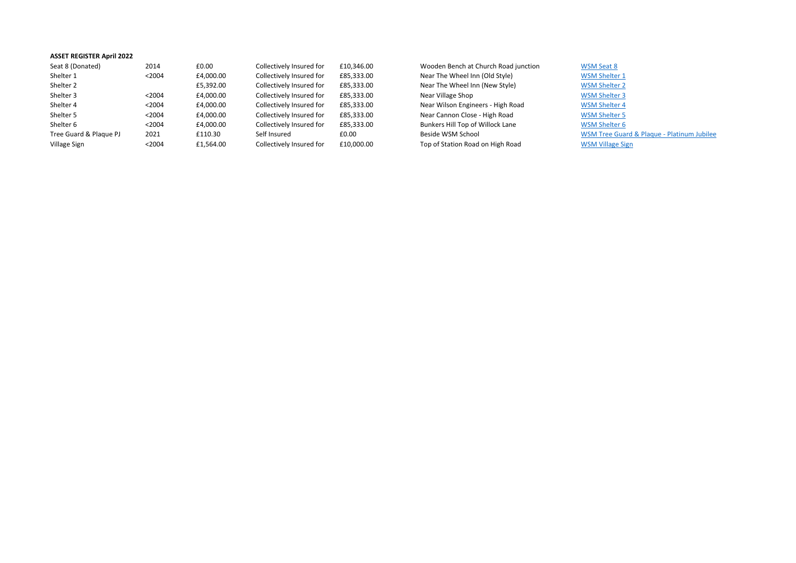| <b>ASSET REGISTER April 2022</b> |        |           |                          |            |                                      |                         |
|----------------------------------|--------|-----------|--------------------------|------------|--------------------------------------|-------------------------|
| Seat 8 (Donated)                 | 2014   | £0.00     | Collectively Insured for | £10.346.00 | Wooden Bench at Church Road junction | <b>WSM Seat 8</b>       |
| Shelter 1                        | < 2004 | £4,000.00 | Collectively Insured for | £85,333.00 | Near The Wheel Inn (Old Style)       | <b>WSM Shelter 1</b>    |
| Shelter 2                        |        | £5,392.00 | Collectively Insured for | £85,333.00 | Near The Wheel Inn (New Style)       | <b>WSM Shelter 2</b>    |
| Shelter 3                        | < 2004 | £4.000.00 | Collectively Insured for | £85,333.00 | Near Village Shop                    | <b>WSM Shelter 3</b>    |
| Shelter 4                        | < 2004 | £4,000.00 | Collectively Insured for | £85,333.00 | Near Wilson Engineers - High Road    | <b>WSM Shelter 4</b>    |
| Shelter 5                        | < 2004 | £4,000.00 | Collectively Insured for | £85,333.00 | Near Cannon Close - High Road        | <b>WSM Shelter 5</b>    |
| Shelter 6                        | < 2004 | £4.000.00 | Collectively Insured for | £85.333.00 | Bunkers Hill Top of Willock Lane     | <b>WSM Shelter 6</b>    |
| Tree Guard & Plaque PJ           | 2021   | £110.30   | Self Insured             | £0.00      | Beside WSM School                    | <b>WSM Tree Guard</b>   |
| Village Sign                     | < 2004 | £1.564.00 | Collectively Insured for | £10,000.00 | Top of Station Road on High Road     | <b>WSM Village Sign</b> |

**[WSM Tree Guard & Plaque - Platinum Jubilee](https://photos.app.goo.gl/PzSpePxEUKHKju2h8)<br>WSM Village Sign**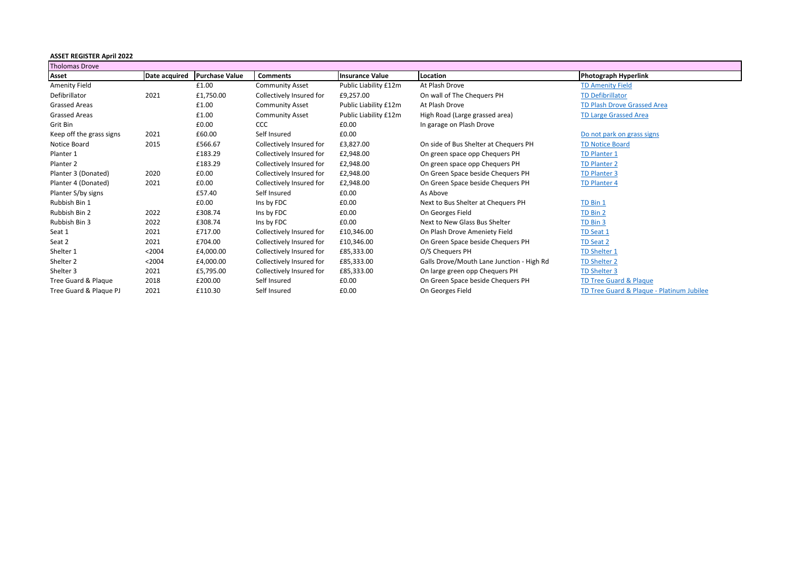| <b>ASSET REGISTER April 2022</b> |               |                       |                          |                        |                                           |                                           |  |  |
|----------------------------------|---------------|-----------------------|--------------------------|------------------------|-------------------------------------------|-------------------------------------------|--|--|
| <b>Tholomas Drove</b>            |               |                       |                          |                        |                                           |                                           |  |  |
| Asset                            | Date acquired | <b>Purchase Value</b> | <b>Comments</b>          | <b>Insurance Value</b> | Location                                  | <b>Photograph Hyperlink</b>               |  |  |
| <b>Amenity Field</b>             |               | £1.00                 | <b>Community Asset</b>   | Public Liability £12m  | At Plash Drove                            | <b>TD Amenity Field</b>                   |  |  |
| Defibrillator                    | 2021          | £1,750.00             | Collectively Insured for | £9,257.00              | On wall of The Chequers PH                | <b>TD Defibrillator</b>                   |  |  |
| <b>Grassed Areas</b>             |               | £1.00                 | <b>Community Asset</b>   | Public Liability £12m  | At Plash Drove                            | <b>TD Plash Drove Grassed Area</b>        |  |  |
| Grassed Areas                    |               | £1.00                 | <b>Community Asset</b>   | Public Liability £12m  | High Road (Large grassed area)            | <b>TD Large Grassed Area</b>              |  |  |
| Grit Bin                         |               | £0.00                 | CCC                      | £0.00                  | In garage on Plash Drove                  |                                           |  |  |
| Keep off the grass signs         | 2021          | £60.00                | Self Insured             | £0.00                  |                                           | Do not park on grass signs                |  |  |
| Notice Board                     | 2015          | £566.67               | Collectively Insured for | £3,827.00              | On side of Bus Shelter at Chequers PH     | <b>TD Notice Board</b>                    |  |  |
| Planter 1                        |               | £183.29               | Collectively Insured for | £2,948.00              | On green space opp Chequers PH            | <b>TD Planter 1</b>                       |  |  |
| Planter 2                        |               | £183.29               | Collectively Insured for | £2,948.00              | On green space opp Chequers PH            | <b>TD Planter 2</b>                       |  |  |
| Planter 3 (Donated)              | 2020          | £0.00                 | Collectively Insured for | £2,948.00              | On Green Space beside Chequers PH         | <b>TD Planter 3</b>                       |  |  |
| Planter 4 (Donated)              | 2021          | £0.00                 | Collectively Insured for | £2,948.00              | On Green Space beside Chequers PH         | <b>TD Planter 4</b>                       |  |  |
| Planter S/by signs               |               | £57.40                | Self Insured             | £0.00                  | As Above                                  |                                           |  |  |
| Rubbish Bin 1                    |               | £0.00                 | Ins by FDC               | £0.00                  | Next to Bus Shelter at Chequers PH        | TD Bin 1                                  |  |  |
| Rubbish Bin 2                    | 2022          | £308.74               | Ins by FDC               | £0.00                  | On Georges Field                          | TD Bin 2                                  |  |  |
| Rubbish Bin 3                    | 2022          | £308.74               | Ins by FDC               | £0.00                  | Next to New Glass Bus Shelter             | TD Bin 3                                  |  |  |
| Seat 1                           | 2021          | £717.00               | Collectively Insured for | £10,346.00             | On Plash Drove Ameniety Field             | TD Seat 1                                 |  |  |
| Seat 2                           | 2021          | £704.00               | Collectively Insured for | £10,346.00             | On Green Space beside Chequers PH         | TD Seat 2                                 |  |  |
| Shelter 1                        | < 2004        | £4,000.00             | Collectively Insured for | £85,333.00             | O/S Chequers PH                           | <b>TD Shelter 1</b>                       |  |  |
| Shelter <sub>2</sub>             | < 2004        | £4,000.00             | Collectively Insured for | £85,333.00             | Galls Drove/Mouth Lane Junction - High Rd | <b>TD Shelter 2</b>                       |  |  |
| Shelter 3                        | 2021          | £5,795.00             | Collectively Insured for | £85,333.00             | On large green opp Chequers PH            | TD Shelter 3                              |  |  |
| Tree Guard & Plague              | 2018          | £200.00               | Self Insured             | £0.00                  | On Green Space beside Chequers PH         | <b>TD Tree Guard &amp; Plaque</b>         |  |  |
| Tree Guard & Plaque PJ           | 2021          | £110.30               | Self Insured             | £0.00                  | On Georges Field                          | TD Tree Guard & Plague - Platinum Jubilee |  |  |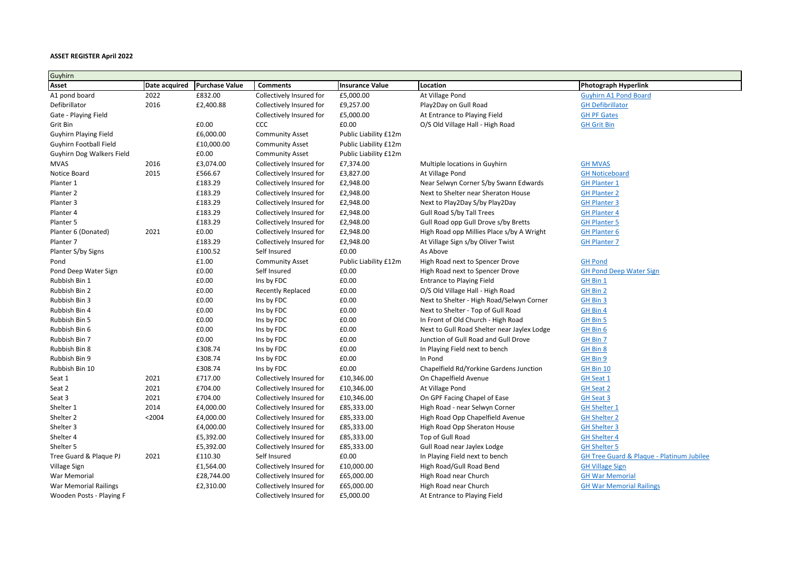| Guyhirn                   |               |                       |                          |                        |                                             |                                                      |
|---------------------------|---------------|-----------------------|--------------------------|------------------------|---------------------------------------------|------------------------------------------------------|
| Asset                     | Date acquired | <b>Purchase Value</b> | <b>Comments</b>          | <b>Insurance Value</b> | Location                                    | <b>Photograph Hyperlink</b>                          |
| A1 pond board             | 2022          | £832.00               | Collectively Insured for | £5,000.00              | At Village Pond                             | <b>Guyhirn A1 Pond Board</b>                         |
| Defibrillator             | 2016          | £2,400.88             | Collectively Insured for | £9,257.00              | Play2Day on Gull Road                       | <b>GH Defibrillator</b>                              |
| Gate - Playing Field      |               |                       | Collectively Insured for | £5,000.00              | At Entrance to Playing Field                | <b>GH PF Gates</b>                                   |
| Grit Bin                  |               | £0.00                 | <b>CCC</b>               | £0.00                  | O/S Old Village Hall - High Road            | <b>GH Grit Bin</b>                                   |
| Guyhirn Playing Field     |               | £6,000.00             | <b>Community Asset</b>   | Public Liability £12m  |                                             |                                                      |
| Guyhirn Football Field    |               | £10,000.00            | <b>Community Asset</b>   | Public Liability £12m  |                                             |                                                      |
| Guyhirn Dog Walkers Field |               | £0.00                 | <b>Community Asset</b>   | Public Liability £12m  |                                             |                                                      |
| <b>MVAS</b>               | 2016          | £3,074.00             | Collectively Insured for | £7,374.00              | Multiple locations in Guyhirn               | <b>GH MVAS</b>                                       |
| Notice Board              | 2015          | £566.67               | Collectively Insured for | £3,827.00              | At Village Pond                             | <b>GH Noticeboard</b>                                |
| Planter 1                 |               | £183.29               | Collectively Insured for | £2,948.00              | Near Selwyn Corner S/by Swann Edwards       | <b>GH Planter 1</b>                                  |
| Planter 2                 |               | £183.29               | Collectively Insured for | £2,948.00              | Next to Shelter near Sheraton House         | <b>GH Planter 2</b>                                  |
| Planter 3                 |               | £183.29               | Collectively Insured for | £2,948.00              | Next to Play2Day S/by Play2Day              | <b>GH Planter 3</b>                                  |
| Planter 4                 |               | £183.29               | Collectively Insured for | £2,948.00              | Gull Road S/by Tall Trees                   | <b>GH Planter 4</b>                                  |
| Planter 5                 |               | £183.29               | Collectively Insured for | £2,948.00              | Gull Road opp Gull Drove s/by Bretts        | <b>GH Planter 5</b>                                  |
| Planter 6 (Donated)       | 2021          | £0.00                 | Collectively Insured for | £2,948.00              | High Road opp Millies Place s/by A Wright   | <b>GH Planter 6</b>                                  |
| Planter 7                 |               | £183.29               | Collectively Insured for | £2,948.00              | At Village Sign s/by Oliver Twist           | <b>GH Planter 7</b>                                  |
| Planter S/by Signs        |               | £100.52               | Self Insured             | £0.00                  | As Above                                    |                                                      |
| Pond                      |               | £1.00                 | <b>Community Asset</b>   | Public Liability £12m  | High Road next to Spencer Drove             | <b>GH Pond</b>                                       |
| Pond Deep Water Sign      |               | £0.00                 | Self Insured             | £0.00                  | High Road next to Spencer Drove             | <b>GH Pond Deep Water Sign</b>                       |
| Rubbish Bin 1             |               | £0.00                 | Ins by FDC               | £0.00                  | Entrance to Playing Field                   | GH Bin 1                                             |
| Rubbish Bin 2             |               | £0.00                 | <b>Recently Replaced</b> | £0.00                  | O/S Old Village Hall - High Road            | GH Bin 2                                             |
| Rubbish Bin 3             |               | £0.00                 | Ins by FDC               | £0.00                  | Next to Shelter - High Road/Selwyn Corner   | GH Bin 3                                             |
| Rubbish Bin 4             |               | £0.00                 | Ins by FDC               | £0.00                  | Next to Shelter - Top of Gull Road          | GH Bin 4                                             |
| Rubbish Bin 5             |               | £0.00                 | Ins by FDC               | £0.00                  | In Front of Old Church - High Road          | GH Bin 5                                             |
| Rubbish Bin 6             |               | £0.00                 | Ins by FDC               | £0.00                  | Next to Gull Road Shelter near Jaylex Lodge | GH Bin 6                                             |
| Rubbish Bin 7             |               | £0.00                 | Ins by FDC               | £0.00                  | Junction of Gull Road and Gull Drove        | GH Bin 7                                             |
| Rubbish Bin 8             |               | £308.74               | Ins by FDC               | £0.00                  | In Playing Field next to bench              | GH Bin 8                                             |
| Rubbish Bin 9             |               | £308.74               | Ins by FDC               | £0.00                  | In Pond                                     | GH Bin 9                                             |
| Rubbish Bin 10            |               | £308.74               | Ins by FDC               | £0.00                  | Chapelfield Rd/Yorkine Gardens Junction     | GH Bin 10                                            |
| Seat 1                    | 2021          | £717.00               | Collectively Insured for | £10,346.00             | On Chapelfield Avenue                       | <b>GH Seat 1</b>                                     |
| Seat 2                    | 2021          | £704.00               | Collectively Insured for | £10,346.00             | At Village Pond                             | <b>GH Seat 2</b>                                     |
| Seat 3                    | 2021          | £704.00               | Collectively Insured for | £10,346.00             | On GPF Facing Chapel of Ease                | <b>GH Seat 3</b>                                     |
| Shelter 1                 | 2014          | £4,000.00             | Collectively Insured for | £85,333.00             | High Road - near Selwyn Corner              | <b>GH Shelter 1</b>                                  |
| Shelter 2                 | < 2004        | £4,000.00             | Collectively Insured for | £85,333.00             | High Road Opp Chapelfield Avenue            | <b>GH Shelter 2</b>                                  |
| Shelter 3                 |               | £4,000.00             | Collectively Insured for | £85,333.00             | High Road Opp Sheraton House                | <b>GH Shelter 3</b>                                  |
| Shelter 4                 |               | £5,392.00             | Collectively Insured for | £85,333.00             | Top of Gull Road                            | <b>GH Shelter 4</b>                                  |
| Shelter 5                 |               | £5,392.00             | Collectively Insured for | £85,333.00             | Gull Road near Jaylex Lodge                 | <b>GH Shelter 5</b>                                  |
| Tree Guard & Plaque PJ    | 2021          | £110.30               | Self Insured             | £0.00                  | In Playing Field next to bench              | <b>GH Tree Guard &amp; Plaque - Platinum Jubilee</b> |
| Village Sign              |               | £1,564.00             | Collectively Insured for | £10,000.00             | High Road/Gull Road Bend                    | <b>GH Village Sign</b>                               |
| War Memorial              |               | £28,744.00            | Collectively Insured for | £65,000.00             | High Road near Church                       | <b>GH War Memorial</b>                               |
| War Memorial Railings     |               | £2,310.00             | Collectively Insured for | £65,000.00             | High Road near Church                       | <b>GH War Memorial Railings</b>                      |
| Wooden Posts - Playing F  |               |                       | Collectively Insured for | £5,000.00              | At Entrance to Playing Field                |                                                      |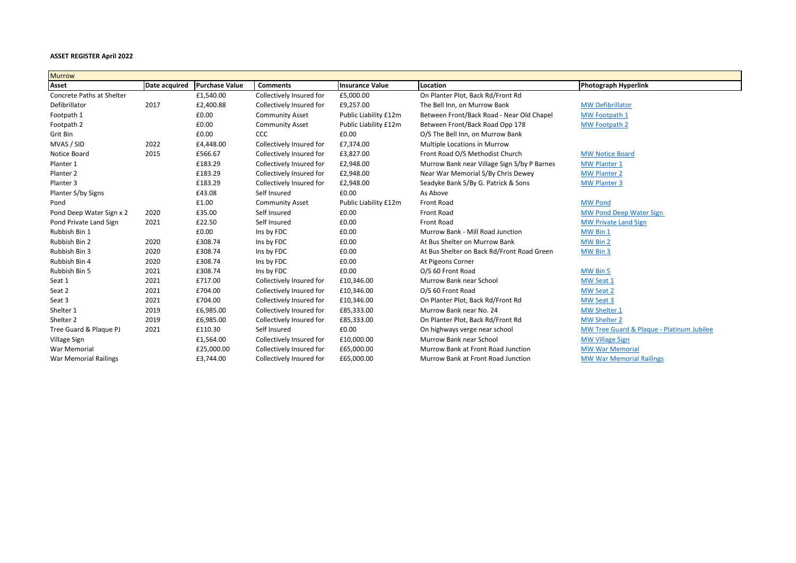| <b>Murrow</b>             |               |                       |                          |                        |                                             |                                           |
|---------------------------|---------------|-----------------------|--------------------------|------------------------|---------------------------------------------|-------------------------------------------|
| Asset                     | Date acquired | <b>Purchase Value</b> | <b>Comments</b>          | <b>Insurance Value</b> | Location                                    | <b>Photograph Hyperlink</b>               |
| Concrete Paths at Shelter |               | £1,540.00             | Collectively Insured for | £5,000.00              | On Planter Plot, Back Rd/Front Rd           |                                           |
| Defibrillator             | 2017          | £2,400.88             | Collectively Insured for | £9,257.00              | The Bell Inn, on Murrow Bank                | <b>MW Defibrillator</b>                   |
| Footpath 1                |               | £0.00                 | <b>Community Asset</b>   | Public Liability £12m  | Between Front/Back Road - Near Old Chapel   | MW Footpath 1                             |
| Footpath 2                |               | £0.00                 | <b>Community Asset</b>   | Public Liability £12m  | Between Front/Back Road Opp 178             | <b>MW Footpath 2</b>                      |
| Grit Bin                  |               | £0.00                 | <b>CCC</b>               | £0.00                  | O/S The Bell Inn, on Murrow Bank            |                                           |
| MVAS / SID                | 2022          | £4,448.00             | Collectively Insured for | £7,374.00              | Multiple Locations in Murrow                |                                           |
| Notice Board              | 2015          | £566.67               | Collectively Insured for | £3,827.00              | Front Road O/S Methodist Church             | <b>MW Notice Board</b>                    |
| Planter 1                 |               | £183.29               | Collectively Insured for | £2,948.00              | Murrow Bank near Village Sign S/by P Barnes | <b>MW Planter 1</b>                       |
| Planter <sub>2</sub>      |               | £183.29               | Collectively Insured for | £2,948.00              | Near War Memorial S/By Chris Dewey          | <b>MW Planter 2</b>                       |
| Planter 3                 |               | £183.29               | Collectively Insured for | £2,948.00              | Seadyke Bank S/By G. Patrick & Sons         | <b>MW Planter 3</b>                       |
| Planter S/by Signs        |               | £43.08                | Self Insured             | £0.00                  | As Above                                    |                                           |
| Pond                      |               | £1.00                 | <b>Community Asset</b>   | Public Liability £12m  | <b>Front Road</b>                           | <b>MW Pond</b>                            |
| Pond Deep Water Sign x 2  | 2020          | £35.00                | Self Insured             | £0.00                  | Front Road                                  | <b>MW Pond Deep Water Sign</b>            |
| Pond Private Land Sign    | 2021          | £22.50                | Self Insured             | £0.00                  | Front Road                                  | <b>MW Private Land Sign</b>               |
| Rubbish Bin 1             |               | £0.00                 | Ins by FDC               | £0.00                  | Murrow Bank - Mill Road Junction            | MW Bin 1                                  |
| Rubbish Bin 2             | 2020          | £308.74               | Ins by FDC               | £0.00                  | At Bus Shelter on Murrow Bank               | MW Bin 2                                  |
| Rubbish Bin 3             | 2020          | £308.74               | Ins by FDC               | £0.00                  | At Bus Shelter on Back Rd/Front Road Green  | MW Bin 3                                  |
| Rubbish Bin 4             | 2020          | £308.74               | Ins by FDC               | £0.00                  | At Pigeons Corner                           |                                           |
| Rubbish Bin 5             | 2021          | £308.74               | Ins by FDC               | £0.00                  | O/S 60 Front Road                           | MW Bin 5                                  |
| Seat 1                    | 2021          | £717.00               | Collectively Insured for | £10,346.00             | Murrow Bank near School                     | MW Seat 1                                 |
| Seat 2                    | 2021          | £704.00               | Collectively Insured for | £10,346.00             | O/S 60 Front Road                           | MW Seat 2                                 |
| Seat 3                    | 2021          | £704.00               | Collectively Insured for | £10,346.00             | On Planter Plot, Back Rd/Front Rd           | MW Seat 3                                 |
| Shelter 1                 | 2019          | £6,985.00             | Collectively Insured for | £85,333.00             | Murrow Bank near No. 24                     | <b>MW Shelter 1</b>                       |
| Shelter 2                 | 2019          | £6,985.00             | Collectively Insured for | £85,333.00             | On Planter Plot, Back Rd/Front Rd           | <b>MW Shelter 2</b>                       |
| Tree Guard & Plaque PJ    | 2021          | £110.30               | Self Insured             | £0.00                  | On highways verge near school               | MW Tree Guard & Plague - Platinum Jubilee |
| Village Sign              |               | £1,564.00             | Collectively Insured for | £10,000.00             | Murrow Bank near School                     | <b>MW Village Sign</b>                    |
| <b>War Memorial</b>       |               | £25,000.00            | Collectively Insured for | £65,000.00             | Murrow Bank at Front Road Junction          | <b>MW War Memorial</b>                    |
| War Memorial Railings     |               | £3,744.00             | Collectively Insured for | £65,000.00             | Murrow Bank at Front Road Junction          | <b>MW War Memorial Railings</b>           |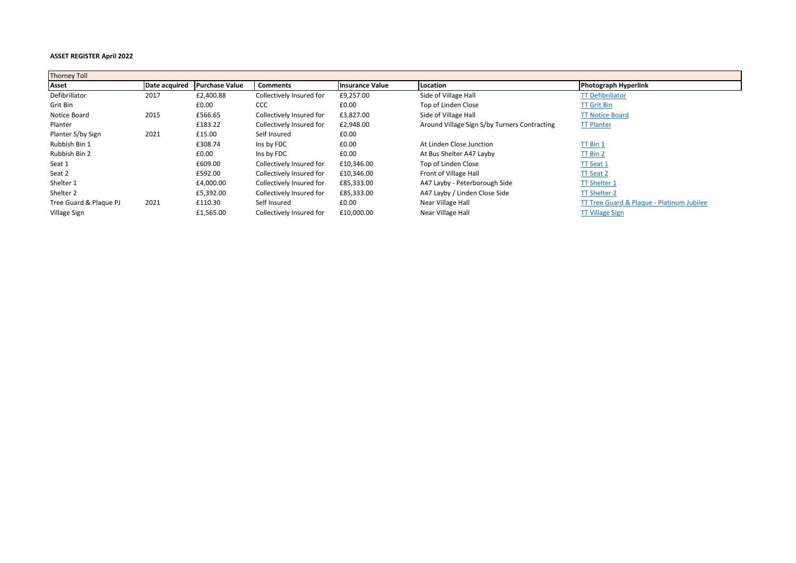| <b>Thorney Toll</b>    |               |                       |                          |                        |                                              |                                           |
|------------------------|---------------|-----------------------|--------------------------|------------------------|----------------------------------------------|-------------------------------------------|
| Asset                  | Date acquired | <b>Purchase Value</b> | <b>Comments</b>          | <b>Insurance Value</b> | Location                                     | <b>Photograph Hyperlink</b>               |
| Defibrillator          | 2017          | £2,400.88             | Collectively Insured for | £9,257.00              | Side of Village Hall                         | <b>TT Defibrillator</b>                   |
| Grit Bin               |               | £0.00                 | <b>CCC</b>               | £0.00                  | Top of Linden Close                          | <b>TT Grit Bin</b>                        |
| Notice Board           | 2015          | £566.65               | Collectively Insured for | £3,827.00              | Side of Village Hall                         | <b>TT Notice Board</b>                    |
| Planter                |               | £183.22               | Collectively Insured for | £2,948.00              | Around Village Sign S/by Turners Contracting | <b>TT Planter</b>                         |
| Planter S/by Sign      | 2021          | £15.00                | Self Insured             | £0.00                  |                                              |                                           |
| Rubbish Bin 1          |               | £308.74               | Ins by FDC               | £0.00                  | At Linden Close Junction                     | <b>TT Bin 1</b>                           |
| Rubbish Bin 2          |               | £0.00                 | Ins by FDC               | £0.00                  | At Bus Shelter A47 Layby                     | <b>TT Bin 2</b>                           |
| Seat 1                 |               | £609.00               | Collectively Insured for | £10,346.00             | Top of Linden Close                          | <b>TT Seat 1</b>                          |
| Seat 2                 |               | £592.00               | Collectively Insured for | £10,346.00             | Front of Village Hall                        | TT Seat 2                                 |
| Shelter 1              |               | £4,000.00             | Collectively Insured for | £85,333.00             | A47 Layby - Peterborough Side                | <b>TT Shelter 1</b>                       |
| Shelter 2              |               | £5,392.00             | Collectively Insured for | £85,333.00             | A47 Layby / Linden Close Side                | <b>TT Shelter 2</b>                       |
| Tree Guard & Plaque PJ | 2021          | £110.30               | Self Insured             | £0.00                  | Near Village Hall                            | TT Tree Guard & Plague - Platinum Jubilee |
| Village Sign           |               | £1,565.00             | Collectively Insured for | £10,000.00             | Near Village Hall                            | <b>TT Village Sign</b>                    |